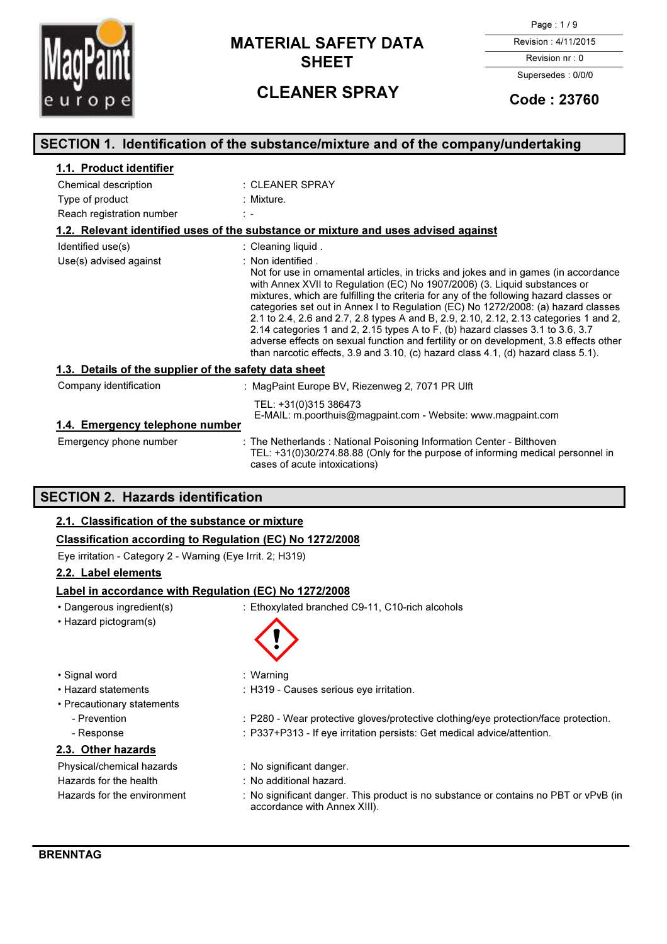

# **MATERIAL SAFETY DATA** Revision : 4/11/2015 SHEET Revision nr : 0

Page : 1 / 9

Supersedes : 0/0/0

# CLEANER SPRAY Code: 23760

| SECTION 1. Identification of the substance/mixture and of the company/undertaking |                                                                                                                                                                                                                                                                                                                                                                                                                                                                                                                                                                                                                                                                                                                                                 |  |
|-----------------------------------------------------------------------------------|-------------------------------------------------------------------------------------------------------------------------------------------------------------------------------------------------------------------------------------------------------------------------------------------------------------------------------------------------------------------------------------------------------------------------------------------------------------------------------------------------------------------------------------------------------------------------------------------------------------------------------------------------------------------------------------------------------------------------------------------------|--|
| 1.1. Product identifier                                                           |                                                                                                                                                                                                                                                                                                                                                                                                                                                                                                                                                                                                                                                                                                                                                 |  |
| Chemical description                                                              | : CLEANER SPRAY                                                                                                                                                                                                                                                                                                                                                                                                                                                                                                                                                                                                                                                                                                                                 |  |
| Type of product                                                                   | : Mixture.                                                                                                                                                                                                                                                                                                                                                                                                                                                                                                                                                                                                                                                                                                                                      |  |
| Reach registration number                                                         | $\frac{1}{2}$ $\frac{1}{2}$                                                                                                                                                                                                                                                                                                                                                                                                                                                                                                                                                                                                                                                                                                                     |  |
|                                                                                   | 1.2. Relevant identified uses of the substance or mixture and uses advised against                                                                                                                                                                                                                                                                                                                                                                                                                                                                                                                                                                                                                                                              |  |
| Identified use(s)                                                                 | : Cleaning liquid.                                                                                                                                                                                                                                                                                                                                                                                                                                                                                                                                                                                                                                                                                                                              |  |
| Use(s) advised against                                                            | : Non identified.<br>Not for use in ornamental articles, in tricks and jokes and in games (in accordance<br>with Annex XVII to Regulation (EC) No 1907/2006) (3. Liquid substances or<br>mixtures, which are fulfilling the criteria for any of the following hazard classes or<br>categories set out in Annex I to Regulation (EC) No 1272/2008: (a) hazard classes<br>2.1 to 2.4, 2.6 and 2.7, 2.8 types A and B, 2.9, 2.10, 2.12, 2.13 categories 1 and 2,<br>2.14 categories 1 and 2, 2.15 types A to F, (b) hazard classes $3.1$ to $3.6$ , $3.7$<br>adverse effects on sexual function and fertility or on development, 3.8 effects other<br>than narcotic effects, $3.9$ and $3.10$ , (c) hazard class $4.1$ , (d) hazard class $5.1$ ). |  |
| 1.3. Details of the supplier of the safety data sheet                             |                                                                                                                                                                                                                                                                                                                                                                                                                                                                                                                                                                                                                                                                                                                                                 |  |
| Company identification                                                            | : MagPaint Europe BV, Riezenweg 2, 7071 PR Ulft                                                                                                                                                                                                                                                                                                                                                                                                                                                                                                                                                                                                                                                                                                 |  |
| 1.4. Emergency telephone number                                                   | TEL: +31(0)315 386473<br>E-MAIL: m.poorthuis@magpaint.com - Website: www.magpaint.com                                                                                                                                                                                                                                                                                                                                                                                                                                                                                                                                                                                                                                                           |  |
| Emergency phone number                                                            | : The Netherlands : National Poisoning Information Center - Bilthoven<br>TEL: +31(0)30/274.88.88 (Only for the purpose of informing medical personnel in<br>cases of acute intoxications)                                                                                                                                                                                                                                                                                                                                                                                                                                                                                                                                                       |  |

## SECTION 2. Hazards identification

### 2.1. Classification of the substance or mixture

### Classification according to Regulation (EC) No 1272/2008

Eye irritation - Category 2 - Warning (Eye Irrit. 2; H319)

#### 2.2. Label elements

#### Label in accordance with Regulation (EC) No 1272/2008

- Dangerous ingredient(s) : Ethoxylated branched C9-11, C10-rich alcohols
- Hazard pictogram(s)

 $\textcircled{\small{3}}$ 

- Signal word : Warning
- Hazard statements : H319 Causes serious eye irritation.
- Precautionary statements
	-
	-
	- Prevention : P280 Wear protective gloves/protective clothing/eye protection/face protection.
	- Response : P337+P313 If eye irritation persists: Get medical advice/attention.

### 2.3. Other hazards

Physical/chemical hazards : No significant danger. Hazards for the health : No additional hazard.

- 
- 
- Hazards for the environment : No significant danger. This product is no substance or contains no PBT or vPvB (in accordance with Annex XIII).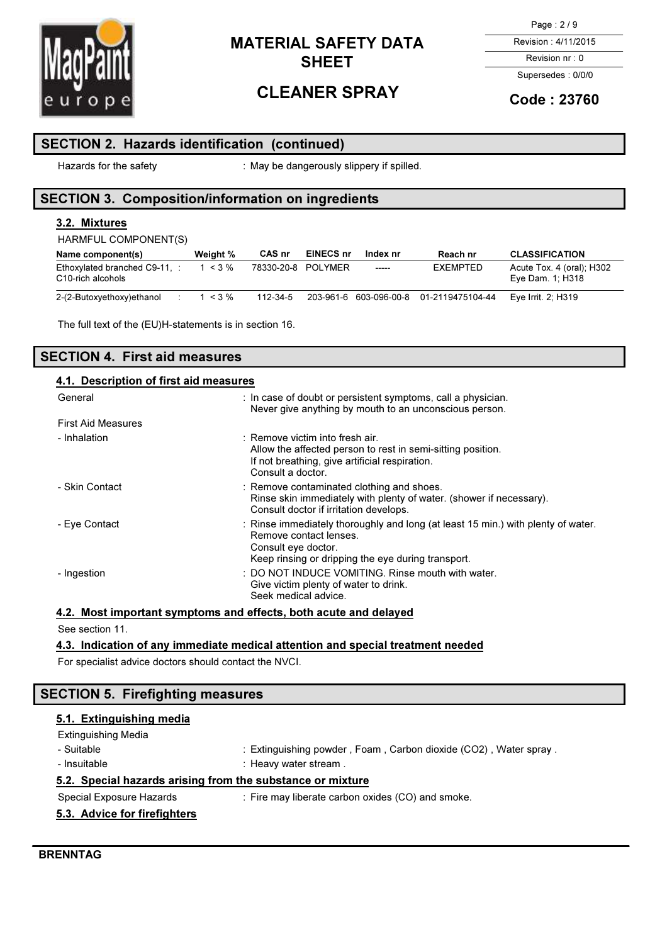

# CLEANER SPRAY

Page : 2 / 9

Revision : 4/11/2015

Revision nr : 0 Supersedes : 0/0/0

## Code : 23760

### SECTION 2. Hazards identification (continued)

Hazards for the safety **interpret of the safety** : May be dangerously slippery if spilled.

## SECTION 3. Composition/information on ingredients

### 3.2. Mixtures

HARMFUL COMPONENT(S)

| Name component(s)                                  | Weight %  | CAS nr             | EINECS nr | Index nr | Reach nr                                | <b>CLASSIFICATION</b>                         |
|----------------------------------------------------|-----------|--------------------|-----------|----------|-----------------------------------------|-----------------------------------------------|
| Ethoxylated branched C9-11, :<br>C10-rich alcohols | $1 < 3\%$ | 78330-20-8 POLYMER |           | -----    | EXEMPTED                                | Acute Tox. 4 (oral); H302<br>Eye Dam. 1; H318 |
| 2-(2-Butoxyethoxy)ethanol                          | $1 < 3\%$ | 112-34-5           |           |          | 203-961-6 603-096-00-8 01-2119475104-44 | Eve Irrit. 2: H319                            |

The full text of the (EU)H-statements is in section 16.

## SECTION 4. First aid measures

| 4.1. Description of first aid measures |                                                                                                                                                                                         |  |  |
|----------------------------------------|-----------------------------------------------------------------------------------------------------------------------------------------------------------------------------------------|--|--|
| General                                | : In case of doubt or persistent symptoms, call a physician.<br>Never give anything by mouth to an unconscious person.                                                                  |  |  |
| <b>First Aid Measures</b>              |                                                                                                                                                                                         |  |  |
| - Inhalation                           | $\therefore$ Remove victim into fresh air.<br>Allow the affected person to rest in semi-sitting position.<br>If not breathing, give artificial respiration.<br>Consult a doctor.        |  |  |
| - Skin Contact                         | : Remove contaminated clothing and shoes.<br>Rinse skin immediately with plenty of water. (shower if necessary).<br>Consult doctor if irritation develops.                              |  |  |
| - Eye Contact                          | : Rinse immediately thoroughly and long (at least 15 min.) with plenty of water.<br>Remove contact lenses.<br>Consult eye doctor.<br>Keep rinsing or dripping the eye during transport. |  |  |
| - Ingestion                            | : DO NOT INDUCE VOMITING. Rinse mouth with water.<br>Give victim plenty of water to drink.<br>Seek medical advice.                                                                      |  |  |

4.2. Most important symptoms and effects, both acute and delayed

See section 11.

### 4.3. Indication of any immediate medical attention and special treatment needed

For specialist advice doctors should contact the NVCI.

## SECTION 5. Firefighting measures

### 5.1. Extinguishing media

| <b>Extinguishing Media</b>                                 |                                                                  |
|------------------------------------------------------------|------------------------------------------------------------------|
| - Suitable                                                 | : Extinguishing powder, Foam, Carbon dioxide (CO2), Water spray. |
| - Insuitable                                               | : Heavy water stream.                                            |
| 5.2. Special hazards arising from the substance or mixture |                                                                  |
| Special Exposure Hazards                                   | : Fire may liberate carbon oxides (CO) and smoke.                |
| 5.3. Advice for firefighters                               |                                                                  |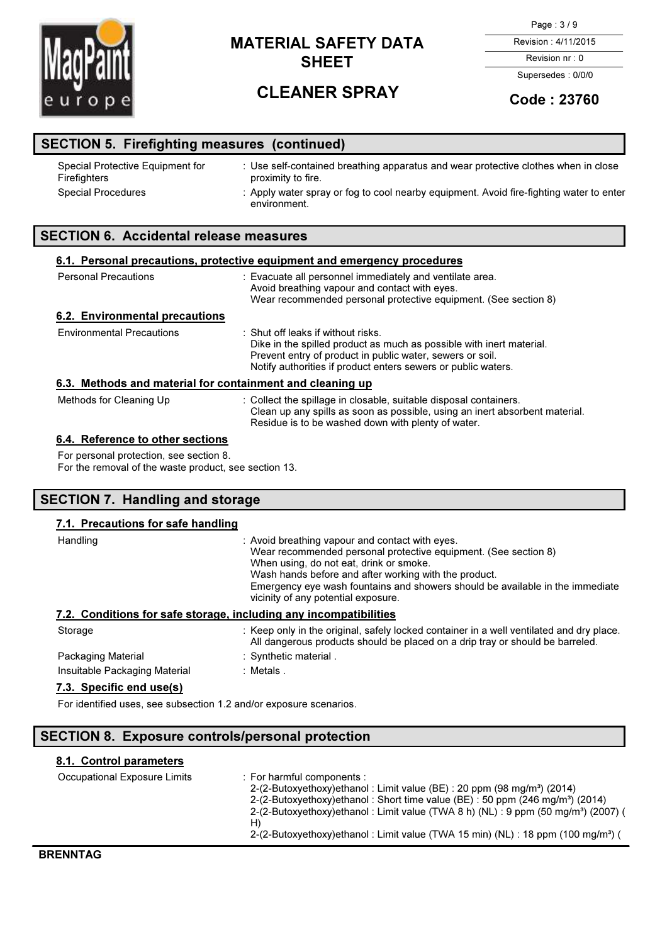

# CLEANER SPRAY

Page : 3 / 9

Revision : 4/11/2015 Revision nr : 0

Supersedes : 0/0/0

## Code : 23760

| <b>SECTION 5. Firefighting measures (continued)</b> |                                                                                                          |  |  |
|-----------------------------------------------------|----------------------------------------------------------------------------------------------------------|--|--|
| Special Protective Equipment for<br>Firefighters    | : Use self-contained breathing apparatus and wear protective clothes when in close<br>proximity to fire. |  |  |
| <b>Special Procedures</b>                           | : Apply water spray or fog to cool nearby equipment. Avoid fire-fighting water to enter<br>environment.  |  |  |

### SECTION 6. Accidental release measures

| 6.1. Personal precautions, protective equipment and emergency procedures |                                                                                                                                                                                                                                              |  |
|--------------------------------------------------------------------------|----------------------------------------------------------------------------------------------------------------------------------------------------------------------------------------------------------------------------------------------|--|
| <b>Personal Precautions</b>                                              | : Evacuate all personnel immediately and ventilate area.<br>Avoid breathing vapour and contact with eyes.<br>Wear recommended personal protective equipment. (See section 8)                                                                 |  |
| 6.2. Environmental precautions                                           |                                                                                                                                                                                                                                              |  |
| <b>Environmental Precautions</b>                                         | $\pm$ Shut off leaks if without risks.<br>Dike in the spilled product as much as possible with inert material.<br>Prevent entry of product in public water, sewers or soil.<br>Notify authorities if product enters sewers or public waters. |  |
| 6.3. Methods and material for containment and cleaning up                |                                                                                                                                                                                                                                              |  |
| Methods for Cleaning Up                                                  | : Collect the spillage in closable, suitable disposal containers.<br>Clean up any spills as soon as possible, using an inert absorbent material.<br>Residue is to be washed down with plenty of water.                                       |  |
| 6.4. Reference to other sections                                         |                                                                                                                                                                                                                                              |  |
| For personal protection, see section 8.                                  |                                                                                                                                                                                                                                              |  |

For the removal of the waste product, see section 13.

## SECTION 7. Handling and storage

### 7.1. Precautions for safe handling

| Handling                                                          | : Avoid breathing vapour and contact with eyes.<br>Wear recommended personal protective equipment. (See section 8)<br>When using, do not eat, drink or smoke.<br>Wash hands before and after working with the product.<br>Emergency eye wash fountains and showers should be available in the immediate<br>vicinity of any potential exposure. |  |  |
|-------------------------------------------------------------------|------------------------------------------------------------------------------------------------------------------------------------------------------------------------------------------------------------------------------------------------------------------------------------------------------------------------------------------------|--|--|
| 7.2. Conditions for safe storage, including any incompatibilities |                                                                                                                                                                                                                                                                                                                                                |  |  |
| Storage                                                           | : Keep only in the original, safely locked container in a well ventilated and dry place.<br>All dangerous products should be placed on a drip tray or should be barreled.                                                                                                                                                                      |  |  |
| Packaging Material                                                | : Synthetic material.                                                                                                                                                                                                                                                                                                                          |  |  |
| Insuitable Packaging Material                                     | :Metals.                                                                                                                                                                                                                                                                                                                                       |  |  |
| 7.3. Specific end use(s)                                          |                                                                                                                                                                                                                                                                                                                                                |  |  |

For identified uses, see subsection 1.2 and/or exposure scenarios.

### SECTION 8. Exposure controls/personal protection

#### 8.1. Control parameters

| Occupational Exposure Limits | $\therefore$ For harmful components :<br>2-(2-Butoxyethoxy)ethanol: Limit value (BE): 20 ppm (98 mg/m <sup>3</sup> ) (2014)<br>2-(2-Butoxyethoxy)ethanol: Short time value (BE): 50 ppm (246 mg/m <sup>3</sup> ) (2014)<br>2-(2-Butoxyethoxy)ethanol: Limit value (TWA 8 h) (NL): 9 ppm (50 mg/m <sup>3</sup> ) (2007) (<br>H) |
|------------------------------|--------------------------------------------------------------------------------------------------------------------------------------------------------------------------------------------------------------------------------------------------------------------------------------------------------------------------------|
|                              | 2-(2-Butoxyethoxy)ethanol: Limit value (TWA 15 min) (NL): 18 ppm (100 mg/m <sup>3</sup> ) (                                                                                                                                                                                                                                    |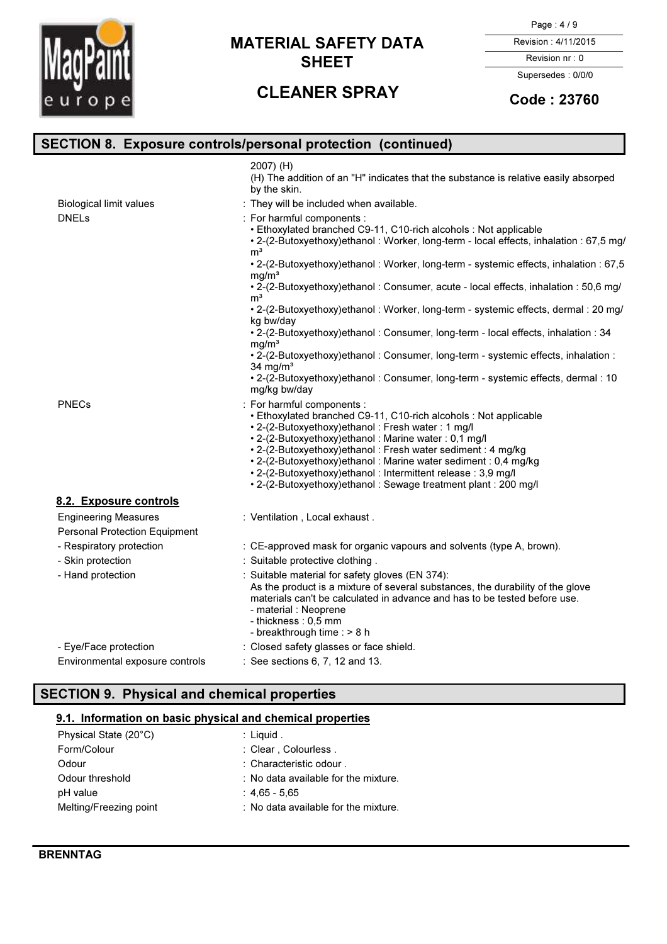

# CLEANER SPRAY

#### Page : 4 / 9

Revision : 4/11/2015

Revision nr : 0 Supersedes : 0/0/0

## Code : 23760

|                                                                     | <b>SECTION 8. Exposure controls/personal protection (continued)</b>                                                                                                                                                                                                                                                                                                                                                                                                      |
|---------------------------------------------------------------------|--------------------------------------------------------------------------------------------------------------------------------------------------------------------------------------------------------------------------------------------------------------------------------------------------------------------------------------------------------------------------------------------------------------------------------------------------------------------------|
|                                                                     | 2007) (H)<br>(H) The addition of an "H" indicates that the substance is relative easily absorped<br>by the skin.                                                                                                                                                                                                                                                                                                                                                         |
| <b>Biological limit values</b>                                      | : They will be included when available.                                                                                                                                                                                                                                                                                                                                                                                                                                  |
| <b>DNELs</b>                                                        | : For harmful components :<br>• Ethoxylated branched C9-11, C10-rich alcohols : Not applicable<br>• 2-(2-Butoxyethoxy)ethanol: Worker, long-term - local effects, inhalation: 67,5 mg/                                                                                                                                                                                                                                                                                   |
|                                                                     | m <sup>3</sup><br>• 2-(2-Butoxyethoxy)ethanol: Worker, long-term - systemic effects, inhalation: 67,5                                                                                                                                                                                                                                                                                                                                                                    |
|                                                                     | mq/m <sup>3</sup><br>• 2-(2-Butoxyethoxy)ethanol: Consumer, acute - local effects, inhalation: 50,6 mg/<br>m <sup>3</sup>                                                                                                                                                                                                                                                                                                                                                |
|                                                                     | • 2-(2-Butoxyethoxy)ethanol: Worker, long-term - systemic effects, dermal: 20 mg/<br>kg bw/day                                                                                                                                                                                                                                                                                                                                                                           |
|                                                                     | • 2-(2-Butoxyethoxy)ethanol: Consumer, long-term - local effects, inhalation: 34<br>ma/m <sup>3</sup>                                                                                                                                                                                                                                                                                                                                                                    |
|                                                                     | . 2-(2-Butoxyethoxy)ethanol: Consumer, long-term - systemic effects, inhalation :<br>34 mg/ $m3$                                                                                                                                                                                                                                                                                                                                                                         |
|                                                                     | • 2-(2-Butoxyethoxy)ethanol: Consumer, long-term - systemic effects, dermal: 10<br>mg/kg bw/day                                                                                                                                                                                                                                                                                                                                                                          |
| <b>PNECs</b>                                                        | : For harmful components :<br>• Ethoxylated branched C9-11, C10-rich alcohols : Not applicable<br>• 2-(2-Butoxyethoxy)ethanol: Fresh water: 1 mg/l<br>• 2-(2-Butoxyethoxy)ethanol: Marine water: 0,1 mg/l<br>• 2-(2-Butoxyethoxy)ethanol: Fresh water sediment: 4 mg/kg<br>• 2-(2-Butoxyethoxy)ethanol: Marine water sediment: 0,4 mg/kg<br>• 2-(2-Butoxyethoxy)ethanol: Intermittent release: 3,9 mg/l<br>• 2-(2-Butoxyethoxy)ethanol: Sewage treatment plant: 200 mg/l |
| 8.2. Exposure controls                                              |                                                                                                                                                                                                                                                                                                                                                                                                                                                                          |
| <b>Engineering Measures</b><br><b>Personal Protection Equipment</b> | : Ventilation, Local exhaust.                                                                                                                                                                                                                                                                                                                                                                                                                                            |
| - Respiratory protection                                            | : CE-approved mask for organic vapours and solvents (type A, brown).                                                                                                                                                                                                                                                                                                                                                                                                     |
| - Skin protection                                                   | : Suitable protective clothing .                                                                                                                                                                                                                                                                                                                                                                                                                                         |
| - Hand protection                                                   | : Suitable material for safety gloves (EN 374):<br>As the product is a mixture of several substances, the durability of the glove<br>materials can't be calculated in advance and has to be tested before use.<br>- material : Neoprene<br>- thickness: 0,5 mm<br>- breakthrough time : > 8 h                                                                                                                                                                            |
| - Eye/Face protection                                               | : Closed safety glasses or face shield.                                                                                                                                                                                                                                                                                                                                                                                                                                  |
| Environmental exposure controls                                     | : See sections 6, 7, 12 and 13.                                                                                                                                                                                                                                                                                                                                                                                                                                          |

## SECTION 9. Physical and chemical properties

### 9.1. Information on basic physical and chemical properties

| Physical State (20°C)  | $:$ Liquid.                          |
|------------------------|--------------------------------------|
| Form/Colour            | : Clear, Colourless.                 |
| Odour                  | $\therefore$ Characteristic odour.   |
| Odour threshold        | : No data available for the mixture. |
| pH value               | :4.65-5.65                           |
| Melting/Freezing point | : No data available for the mixture. |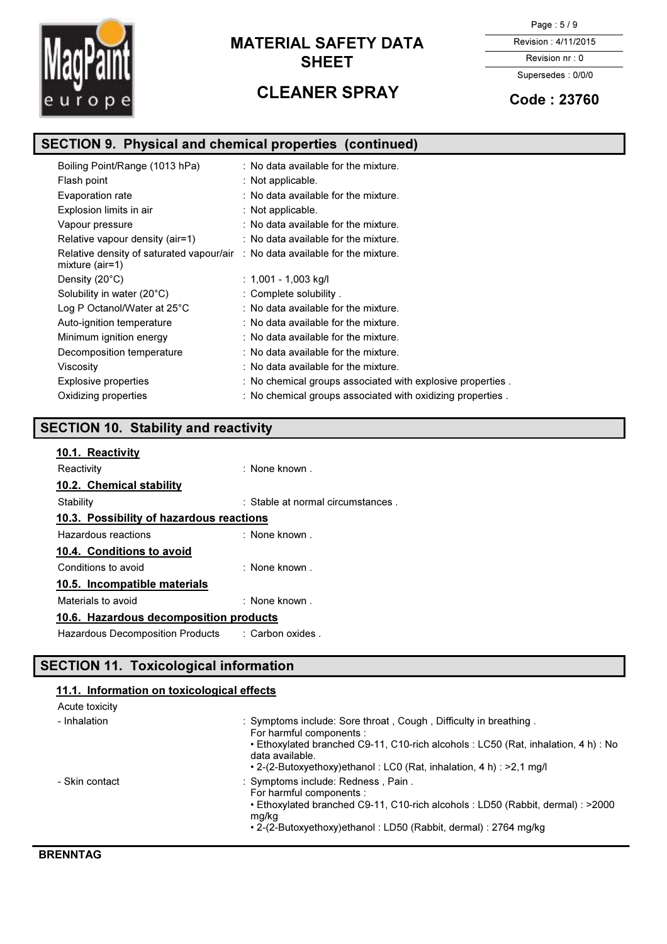

# CLEANER SPRAY

Page : 5 / 9

Revision : 4/11/2015

Revision nr : 0 Supersedes : 0/0/0

## Code : 23760

## SECTION 9. Physical and chemical properties (continued)

| Boiling Point/Range (1013 hPa)                                                                              | $\therefore$ No data available for the mixture.            |
|-------------------------------------------------------------------------------------------------------------|------------------------------------------------------------|
| Flash point                                                                                                 | : Not applicable.                                          |
| Evaporation rate                                                                                            | : No data available for the mixture.                       |
| Explosion limits in air                                                                                     | : Not applicable.                                          |
| Vapour pressure                                                                                             | $:$ No data available for the mixture.                     |
| Relative vapour density (air=1)                                                                             | $\therefore$ No data available for the mixture.            |
| Relative density of saturated vapour/air $\therefore$ No data available for the mixture.<br>mixture (air=1) |                                                            |
| Density (20°C)                                                                                              | : $1,001 - 1,003$ kg/l                                     |
| Solubility in water (20°C)                                                                                  | : Complete solubility.                                     |
| Log P Octanol/Water at $25^{\circ}$ C                                                                       | $\therefore$ No data available for the mixture.            |
| Auto-ignition temperature                                                                                   | : No data available for the mixture.                       |
| Minimum ignition energy                                                                                     | $\therefore$ No data available for the mixture.            |
| Decomposition temperature                                                                                   | $\therefore$ No data available for the mixture.            |
| Viscosity                                                                                                   | $\therefore$ No data available for the mixture.            |
| <b>Explosive properties</b>                                                                                 | : No chemical groups associated with explosive properties. |
| Oxidizing properties                                                                                        | : No chemical groups associated with oxidizing properties. |

## SECTION 10. Stability and reactivity

| : None known.                            |  |  |  |
|------------------------------------------|--|--|--|
|                                          |  |  |  |
| : Stable at normal circumstances.        |  |  |  |
| 10.3. Possibility of hazardous reactions |  |  |  |
| : None known.                            |  |  |  |
|                                          |  |  |  |
| $\therefore$ None known .                |  |  |  |
| 10.5. Incompatible materials             |  |  |  |
| $:$ None known $:$                       |  |  |  |
| 10.6. Hazardous decomposition products   |  |  |  |
| :Carbon oxides .                         |  |  |  |
|                                          |  |  |  |

## SECTION 11. Toxicological information

## 11.1. Information on toxicological effects

| Acute toxicity |                                                                                                                                                                                                                                                                                     |
|----------------|-------------------------------------------------------------------------------------------------------------------------------------------------------------------------------------------------------------------------------------------------------------------------------------|
| - Inhalation   | : Symptoms include: Sore throat, Cough, Difficulty in breathing.<br>For harmful components :<br>• Ethoxylated branched C9-11, C10-rich alcohols : LC50 (Rat, inhalation, 4 h) : No<br>data available.<br>$\cdot$ 2-(2-Butoxyethoxy)ethanol: LC0 (Rat, inhalation, 4 h): $>2.1$ mg/l |
| - Skin contact | : Symptoms include: Redness, Pain.<br>For harmful components :<br>• Ethoxylated branched C9-11, C10-rich alcohols : LD50 (Rabbit, dermal) : >2000<br>mg/kg<br>• 2-(2-Butoxyethoxy)ethanol: LD50 (Rabbit, dermal): 2764 mg/kg                                                        |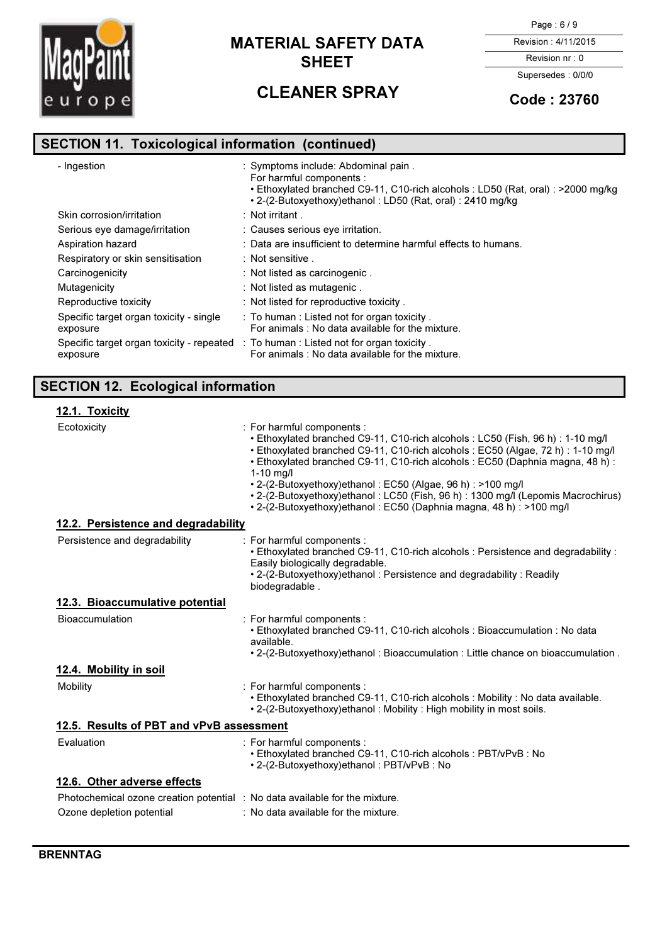

# CLEANER SPRAY

Page : 6 / 9

Revision : 4/11/2015

Revision nr : 0 Supersedes : 0/0/0

## Code : 23760

# SECTION 11. Toxicological information (continued)

| - Ingestion                                           | : Symptoms include: Abdominal pain.<br>For harmful components :<br>• Ethoxylated branched C9-11, C10-rich alcohols : LD50 (Rat, oral) : >2000 mg/kg<br>• 2-(2-Butoxyethoxy)ethanol: LD50 (Rat, oral): 2410 mg/kg |
|-------------------------------------------------------|------------------------------------------------------------------------------------------------------------------------------------------------------------------------------------------------------------------|
| Skin corrosion/irritation                             | $:$ Not irritant .                                                                                                                                                                                               |
| Serious eye damage/irritation                         | : Causes serious eye irritation.                                                                                                                                                                                 |
| Aspiration hazard                                     | : Data are insufficient to determine harmful effects to humans.                                                                                                                                                  |
| Respiratory or skin sensitisation                     | : Not sensitive.                                                                                                                                                                                                 |
| Carcinogenicity                                       | : Not listed as carcinogenic.                                                                                                                                                                                    |
| Mutagenicity                                          | : Not listed as mutagenic.                                                                                                                                                                                       |
| Reproductive toxicity                                 | : Not listed for reproductive toxicity.                                                                                                                                                                          |
| Specific target organ toxicity - single<br>exposure   | : To human: Listed not for organ toxicity.<br>For animals: No data available for the mixture.                                                                                                                    |
| Specific target organ toxicity - repeated<br>exposure | : To human : Listed not for organ toxicity.<br>For animals : No data available for the mixture.                                                                                                                  |

# SECTION 12. Ecological information

## 12.1. Toxicity

| Ecotoxicity                                                                 | : For harmful components :<br>• Ethoxylated branched C9-11, C10-rich alcohols : LC50 (Fish, 96 h) : 1-10 mg/l<br>• Ethoxylated branched C9-11, C10-rich alcohols : EC50 (Algae, 72 h) : 1-10 mg/l<br>• Ethoxylated branched C9-11, C10-rich alcohols : EC50 (Daphnia magna, 48 h) :<br>$1-10$ mg/l<br>• 2-(2-Butoxyethoxy)ethanol: EC50 (Algae, 96 h): >100 mg/l<br>• 2-(2-Butoxyethoxy)ethanol: LC50 (Fish, 96 h): 1300 mg/l (Lepomis Macrochirus)<br>• 2-(2-Butoxyethoxy)ethanol: EC50 (Daphnia magna, 48 h): >100 mg/l |  |
|-----------------------------------------------------------------------------|---------------------------------------------------------------------------------------------------------------------------------------------------------------------------------------------------------------------------------------------------------------------------------------------------------------------------------------------------------------------------------------------------------------------------------------------------------------------------------------------------------------------------|--|
| 12.2. Persistence and degradability                                         |                                                                                                                                                                                                                                                                                                                                                                                                                                                                                                                           |  |
| Persistence and degradability                                               | : For harmful components :<br>. Ethoxylated branched C9-11, C10-rich alcohols : Persistence and degradability :<br>Easily biologically degradable.<br>• 2-(2-Butoxyethoxy)ethanol: Persistence and degradability: Readily<br>biodegradable.                                                                                                                                                                                                                                                                               |  |
| 12.3. Bioaccumulative potential                                             |                                                                                                                                                                                                                                                                                                                                                                                                                                                                                                                           |  |
| <b>Bioaccumulation</b>                                                      | : For harmful components :<br>• Ethoxylated branched C9-11, C10-rich alcohols : Bioaccumulation : No data<br>available.<br>. 2-(2-Butoxyethoxy)ethanol: Bioaccumulation: Little chance on bioaccumulation.                                                                                                                                                                                                                                                                                                                |  |
| 12.4. Mobility in soil                                                      |                                                                                                                                                                                                                                                                                                                                                                                                                                                                                                                           |  |
| Mobility                                                                    | : For harmful components :<br>. Ethoxylated branched C9-11, C10-rich alcohols : Mobility : No data available.<br>• 2-(2-Butoxyethoxy) ethanol: Mobility: High mobility in most soils.                                                                                                                                                                                                                                                                                                                                     |  |
| 12.5. Results of PBT and vPvB assessment                                    |                                                                                                                                                                                                                                                                                                                                                                                                                                                                                                                           |  |
| Evaluation                                                                  | : For harmful components :<br>• Ethoxylated branched C9-11, C10-rich alcohols : PBT/vPvB : No<br>• 2-(2-Butoxyethoxy)ethanol: PBT/vPvB: No                                                                                                                                                                                                                                                                                                                                                                                |  |
| 12.6. Other adverse effects                                                 |                                                                                                                                                                                                                                                                                                                                                                                                                                                                                                                           |  |
| Photochemical ozone creation potential : No data available for the mixture. |                                                                                                                                                                                                                                                                                                                                                                                                                                                                                                                           |  |
| Ozone depletion potential                                                   | : No data available for the mixture.                                                                                                                                                                                                                                                                                                                                                                                                                                                                                      |  |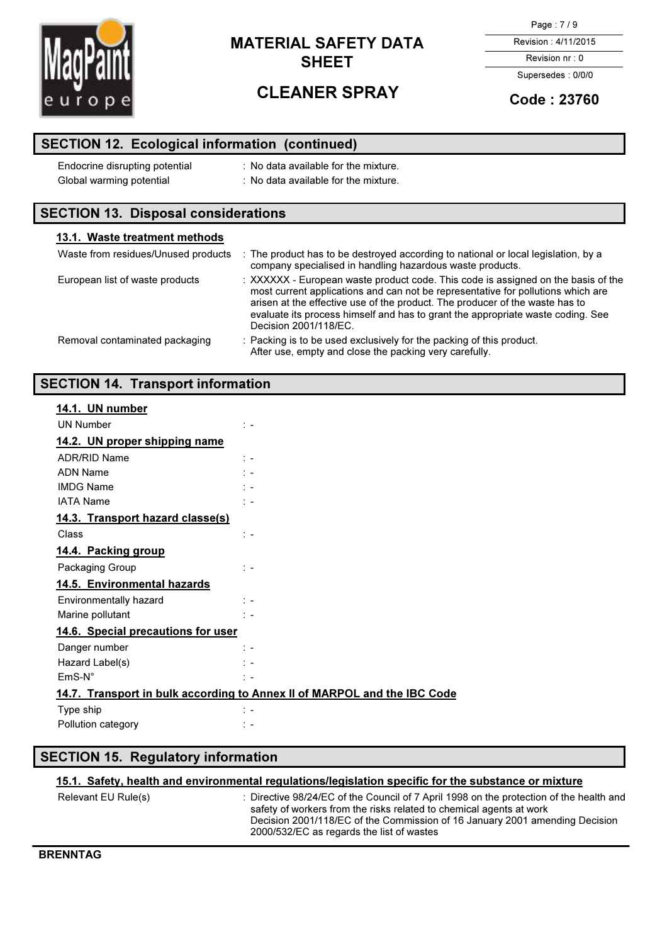

# CLEANER SPRAY

Page : 7 / 9

Revision : 4/11/2015

Revision nr : 0 Supersedes : 0/0/0

## Code : 23760

## SECTION 12. Ecological information (continued)

| Endocrine disrupting potential | : No data available for the mixture. |
|--------------------------------|--------------------------------------|
| Global warming potential       | : No data available for the mixture. |

## SECTION 13. Disposal considerations

| 13.1. Waste treatment methods       |                                                                                                                                                                                                                                                                                                                                                                   |
|-------------------------------------|-------------------------------------------------------------------------------------------------------------------------------------------------------------------------------------------------------------------------------------------------------------------------------------------------------------------------------------------------------------------|
| Waste from residues/Unused products | : The product has to be destroyed according to national or local legislation, by a<br>company specialised in handling hazardous waste products.                                                                                                                                                                                                                   |
| European list of waste products     | : XXXXXX - European waste product code. This code is assigned on the basis of the<br>most current applications and can not be representative for pollutions which are<br>arisen at the effective use of the product. The producer of the waste has to<br>evaluate its process himself and has to grant the appropriate waste coding. See<br>Decision 2001/118/EC. |
| Removal contaminated packaging      | : Packing is to be used exclusively for the packing of this product.<br>After use, empty and close the packing very carefully.                                                                                                                                                                                                                                    |

## SECTION 14. Transport information

| 14.1. UN number                                                          |                             |
|--------------------------------------------------------------------------|-----------------------------|
|                                                                          |                             |
| <b>UN Number</b>                                                         | $\mathcal{L}$               |
| 14.2. UN proper shipping name                                            |                             |
| <b>ADR/RID Name</b>                                                      | $\mathcal{L}$               |
| <b>ADN Name</b>                                                          | $\mathcal{L}$               |
| <b>IMDG Name</b>                                                         | t –                         |
| <b>IATA Name</b>                                                         | $\sim$ $-$                  |
| 14.3. Transport hazard classe(s)                                         |                             |
| Class                                                                    | $\mathbb{Z}$                |
| 14.4. Packing group                                                      |                             |
| Packaging Group                                                          | $\ddot{ }$ =                |
| 14.5. Environmental hazards                                              |                             |
| Environmentally hazard                                                   | $\ddot{ }$ =                |
| Marine pollutant                                                         | ٠.                          |
| 14.6. Special precautions for user                                       |                             |
| Danger number                                                            | $\frac{1}{2}$ $\frac{1}{2}$ |
| Hazard Label(s)                                                          | $\mathcal{L}$               |
| $EmS-N^{\circ}$                                                          | $\mathbb{R}$ =              |
| 14.7. Transport in bulk according to Annex II of MARPOL and the IBC Code |                             |
| Type ship                                                                | $\frac{1}{2}$ $\frac{1}{2}$ |
| Pollution category                                                       | $\mathbb{R}$ $\sim$         |
|                                                                          |                             |

## SECTION 15. Regulatory information

### 15.1. Safety, health and environmental regulations/legislation specific for the substance or mixture

| Relevant EU Rule(s) | : Directive 98/24/EC of the Council of 7 April 1998 on the protection of the health and<br>safety of workers from the risks related to chemical agents at work<br>Decision 2001/118/EC of the Commission of 16 January 2001 amending Decision<br>2000/532/EC as regards the list of wastes |
|---------------------|--------------------------------------------------------------------------------------------------------------------------------------------------------------------------------------------------------------------------------------------------------------------------------------------|
|                     |                                                                                                                                                                                                                                                                                            |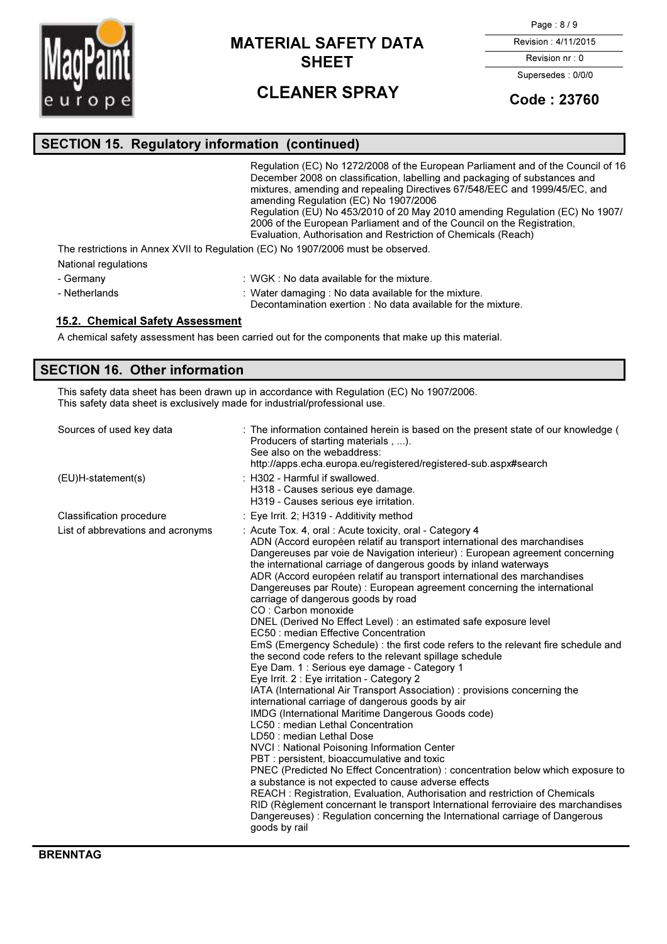

# CLEANER SPRAY

Page : 8 / 9

Revision : 4/11/2015

Revision nr : 0 Supersedes : 0/0/0

## Code : 23760

# SECTION 15. Regulatory information (continued)

|                      | Regulation (EC) No 1272/2008 of the European Parliament and of the Council of 16<br>December 2008 on classification, labelling and packaging of substances and<br>mixtures, amending and repealing Directives 67/548/EEC and 1999/45/EC, and<br>amending Regulation (EC) No 1907/2006<br>Regulation (EU) No 453/2010 of 20 May 2010 amending Regulation (EC) No 1907/<br>2006 of the European Parliament and of the Council on the Registration. |
|----------------------|--------------------------------------------------------------------------------------------------------------------------------------------------------------------------------------------------------------------------------------------------------------------------------------------------------------------------------------------------------------------------------------------------------------------------------------------------|
|                      | Evaluation, Authorisation and Restriction of Chemicals (Reach)<br>The restrictions in Annex XVII to Requlation (EC) No 1907/2006 must be observed.                                                                                                                                                                                                                                                                                               |
| National regulations |                                                                                                                                                                                                                                                                                                                                                                                                                                                  |
| - Germany            | $\cdot$ WGK $\cdot$ No data available for the mixture                                                                                                                                                                                                                                                                                                                                                                                            |

- 
- Germany **: WGK : No data available for the mixture**.
- Netherlands : Water damaging : No data available for the mixture.

Decontamination exertion : No data available for the mixture.

### 15.2. Chemical Safety Assessment

A chemical safety assessment has been carried out for the components that make up this material.

## SECTION 16. Other information

This safety data sheet has been drawn up in accordance with Regulation (EC) No 1907/2006. This safety data sheet is exclusively made for industrial/professional use.

| Sources of used key data          | : The information contained herein is based on the present state of our knowledge (<br>Producers of starting materials ).<br>See also on the webaddress:<br>http://apps.echa.europa.eu/registered/registered-sub.aspx#search                                                                                                                                                                                                                                                                                                                                                                                                                                                                                                                                                                                                                                                                                                                                                                                                                                                                                                                                                                                                                                                                                                                                                                                                                                                                                                                                                                                                                         |
|-----------------------------------|------------------------------------------------------------------------------------------------------------------------------------------------------------------------------------------------------------------------------------------------------------------------------------------------------------------------------------------------------------------------------------------------------------------------------------------------------------------------------------------------------------------------------------------------------------------------------------------------------------------------------------------------------------------------------------------------------------------------------------------------------------------------------------------------------------------------------------------------------------------------------------------------------------------------------------------------------------------------------------------------------------------------------------------------------------------------------------------------------------------------------------------------------------------------------------------------------------------------------------------------------------------------------------------------------------------------------------------------------------------------------------------------------------------------------------------------------------------------------------------------------------------------------------------------------------------------------------------------------------------------------------------------------|
| (EU)H-statement(s)                | : H302 - Harmful if swallowed.<br>H318 - Causes serious eye damage.<br>H319 - Causes serious eye irritation.                                                                                                                                                                                                                                                                                                                                                                                                                                                                                                                                                                                                                                                                                                                                                                                                                                                                                                                                                                                                                                                                                                                                                                                                                                                                                                                                                                                                                                                                                                                                         |
| Classification procedure          | : Eye Irrit. 2; H319 - Additivity method                                                                                                                                                                                                                                                                                                                                                                                                                                                                                                                                                                                                                                                                                                                                                                                                                                                                                                                                                                                                                                                                                                                                                                                                                                                                                                                                                                                                                                                                                                                                                                                                             |
| List of abbrevations and acronyms | : Acute Tox. 4, oral: Acute toxicity, oral - Category 4<br>ADN (Accord européen relatif au transport international des marchandises<br>Dangereuses par voie de Navigation interieur) : European agreement concerning<br>the international carriage of dangerous goods by inland waterways<br>ADR (Accord européen relatif au transport international des marchandises<br>Dangereuses par Route) : European agreement concerning the international<br>carriage of dangerous goods by road<br>CO: Carbon monoxide<br>DNEL (Derived No Effect Level) : an estimated safe exposure level<br>EC50 : median Effective Concentration<br>EmS (Emergency Schedule) : the first code refers to the relevant fire schedule and<br>the second code refers to the relevant spillage schedule<br>Eye Dam. 1 : Serious eye damage - Category 1<br>Eye Irrit. 2 : Eye irritation - Category 2<br>IATA (International Air Transport Association): provisions concerning the<br>international carriage of dangerous goods by air<br>IMDG (International Maritime Dangerous Goods code)<br>LC50 : median Lethal Concentration<br>LD50 : median Lethal Dose<br>NVCI: National Poisoning Information Center<br>PBT: persistent, bioaccumulative and toxic<br>PNEC (Predicted No Effect Concentration) : concentration below which exposure to<br>a substance is not expected to cause adverse effects<br>REACH: Registration, Evaluation, Authorisation and restriction of Chemicals<br>RID (Règlement concernant le transport International ferroviaire des marchandises<br>Dangereuses): Regulation concerning the International carriage of Dangerous<br>goods by rail |